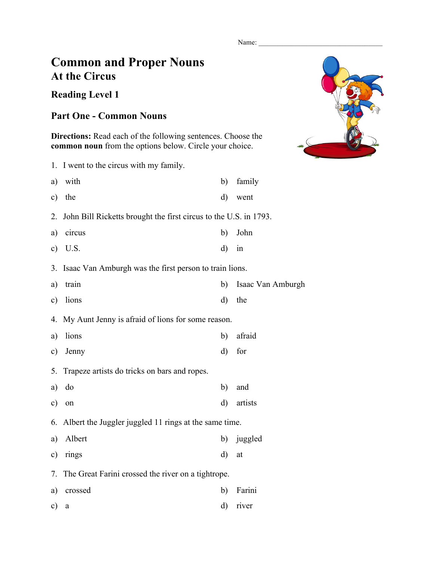Name:

## **Common and Proper Nouns At the Circus**

## **Reading Level 1**

## **Part One - Common Nouns**

**Directions:** Read each of the following sentences. Choose the **common noun** from the options below. Circle your choice.

1. I went to the circus with my family. a) with b) family c) the d) went 2. John Bill Ricketts brought the first circus to the U.S. in 1793. a) circus b) John c) U.S. d) in 3. Isaac Van Amburgh was the first person to train lions. a) train b) Isaac Van Amburgh c) lions d) the 4. My Aunt Jenny is afraid of lions for some reason. a) lions b) afraid c) Jenny d) for 5. Trapeze artists do tricks on bars and ropes. a) do b) and c) on d) artists 6. Albert the Juggler juggled 11 rings at the same time. a) Albert b) juggled c) rings d) at 7. The Great Farini crossed the river on a tightrope. a) crossed b) Farini

c) a d) river

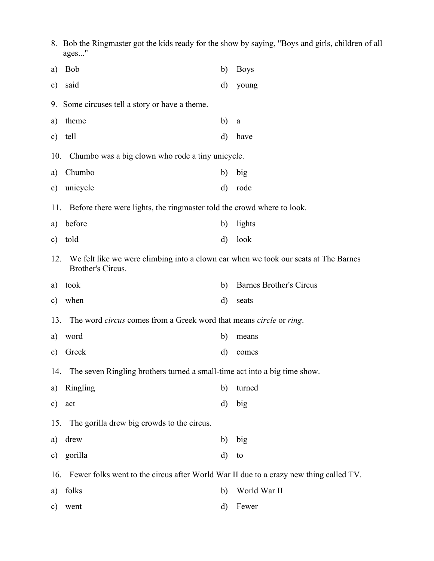|               | 8. Bob the Ringmaster got the kids ready for the show by saying, "Boys and girls, children of all<br>ages" |              |                                |  |  |
|---------------|------------------------------------------------------------------------------------------------------------|--------------|--------------------------------|--|--|
| a)            | <b>Bob</b>                                                                                                 | b)           | <b>Boys</b>                    |  |  |
| $\mathbf{c})$ | said                                                                                                       | d)           | young                          |  |  |
|               | 9. Some circuses tell a story or have a theme.                                                             |              |                                |  |  |
| a)            | theme                                                                                                      | b)           | a                              |  |  |
| $\mathbf{c})$ | tell                                                                                                       | $\mathbf{d}$ | have                           |  |  |
|               | Chumbo was a big clown who rode a tiny unicycle.<br>10.                                                    |              |                                |  |  |
| a)            | Chumbo                                                                                                     | b)           | big                            |  |  |
| $\mathbf{c})$ | unicycle                                                                                                   | d)           | rode                           |  |  |
|               | 11. Before there were lights, the ringmaster told the crowd where to look.                                 |              |                                |  |  |
| a)            | before                                                                                                     | b)           | lights                         |  |  |
| $\mathbf{c})$ | told                                                                                                       | d)           | look                           |  |  |
| 12.           | We felt like we were climbing into a clown car when we took our seats at The Barnes<br>Brother's Circus.   |              |                                |  |  |
| a)            | took                                                                                                       | b)           | <b>Barnes Brother's Circus</b> |  |  |
| $\mathbf{c})$ | when                                                                                                       | d)           | seats                          |  |  |
| 13.           | The word <i>circus</i> comes from a Greek word that means <i>circle</i> or <i>ring</i> .                   |              |                                |  |  |
| a)            | word                                                                                                       | b)           | means                          |  |  |
|               | c) Greek                                                                                                   |              | d) comes                       |  |  |
| 14.           | The seven Ringling brothers turned a small-time act into a big time show.                                  |              |                                |  |  |
| a)            | Ringling                                                                                                   | b)           | turned                         |  |  |
| $\mathbf{c})$ | act                                                                                                        | d)           | big                            |  |  |
|               | 15. The gorilla drew big crowds to the circus.                                                             |              |                                |  |  |
| a)            | drew                                                                                                       | b)           | big                            |  |  |
| $\mathbf{c})$ | gorilla                                                                                                    | $\rm d)$     | to                             |  |  |
|               | Fewer folks went to the circus after World War II due to a crazy new thing called TV.<br>16.               |              |                                |  |  |
| a)            | folks                                                                                                      | b)           | World War II                   |  |  |
| $\mathbf{c})$ | went                                                                                                       | d)           | Fewer                          |  |  |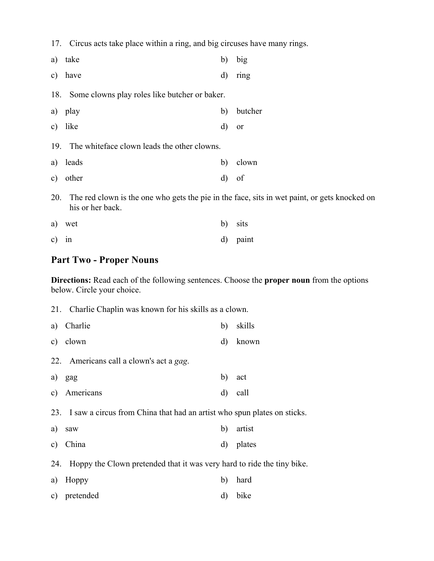17. Circus acts take place within a ring, and big circuses have many rings.

| a)  | take                                                                                                             | b)       | big           |
|-----|------------------------------------------------------------------------------------------------------------------|----------|---------------|
|     | c) have                                                                                                          | $\rm d)$ | ring          |
|     | 18. Some clowns play roles like butcher or baker.                                                                |          |               |
| a)  | play                                                                                                             | b)       | butcher       |
|     | c) like                                                                                                          | d)       | <sub>or</sub> |
|     | 19. The white face clown leads the other clowns.                                                                 |          |               |
|     | a) leads                                                                                                         | b)       | clown         |
| c)  | other                                                                                                            | d)       | of            |
| 20. | The red clown is the one who gets the pie in the face, sits in wet paint, or gets knocked on<br>his or her back. |          |               |

|         | a) wet | b) sits  |
|---------|--------|----------|
| $c)$ in |        | d) paint |

## **Part Two - Proper Nouns**

**Directions:** Read each of the following sentences. Choose the **proper noun** from the options below. Circle your choice.

|    | 21. Charlie Chaplin was known for his skills as a clown.                    |              |        |
|----|-----------------------------------------------------------------------------|--------------|--------|
| a) | Charlie                                                                     | b)           | skills |
| c) | clown                                                                       | $\mathbf{d}$ | known  |
|    | 22. Americans call a clown's act a gag.                                     |              |        |
| a) | gag                                                                         | b)           | act    |
| c) | Americans                                                                   | d)           | call   |
|    | 23. I saw a circus from China that had an artist who spun plates on sticks. |              |        |
| a) | saw                                                                         | b)           | artist |
| c) | China                                                                       | d)           | plates |
|    | 24. Hoppy the Clown pretended that it was very hard to ride the tiny bike.  |              |        |
| a) | Hoppy                                                                       | b)           | hard   |
| c) | pretended                                                                   | $\rm d$      | bike   |
|    |                                                                             |              |        |